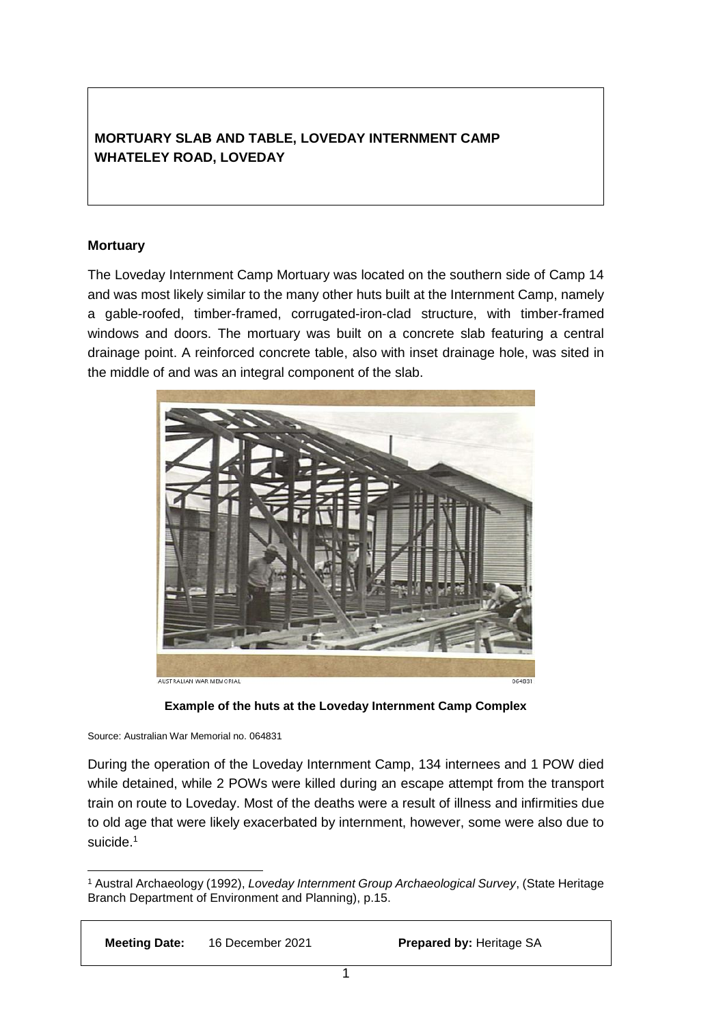# **MORTUARY SLAB AND TABLE, LOVEDAY INTERNMENT CAMP WHATELEY ROAD, LOVEDAY**

### **Mortuary**

The Loveday Internment Camp Mortuary was located on the southern side of Camp 14 and was most likely similar to the many other huts built at the Internment Camp, namely a gable-roofed, timber-framed, corrugated-iron-clad structure, with timber-framed windows and doors. The mortuary was built on a concrete slab featuring a central drainage point. A reinforced concrete table, also with inset drainage hole, was sited in the middle of and was an integral component of the slab.





Source: Australian War Memorial no. 064831

-

During the operation of the Loveday Internment Camp, 134 internees and 1 POW died while detained, while 2 POWs were killed during an escape attempt from the transport train on route to Loveday. Most of the deaths were a result of illness and infirmities due to old age that were likely exacerbated by internment, however, some were also due to suicide.<sup>1</sup>

<sup>1</sup> Austral Archaeology (1992), *Loveday Internment Group Archaeological Survey*, (State Heritage Branch Department of Environment and Planning), p.15.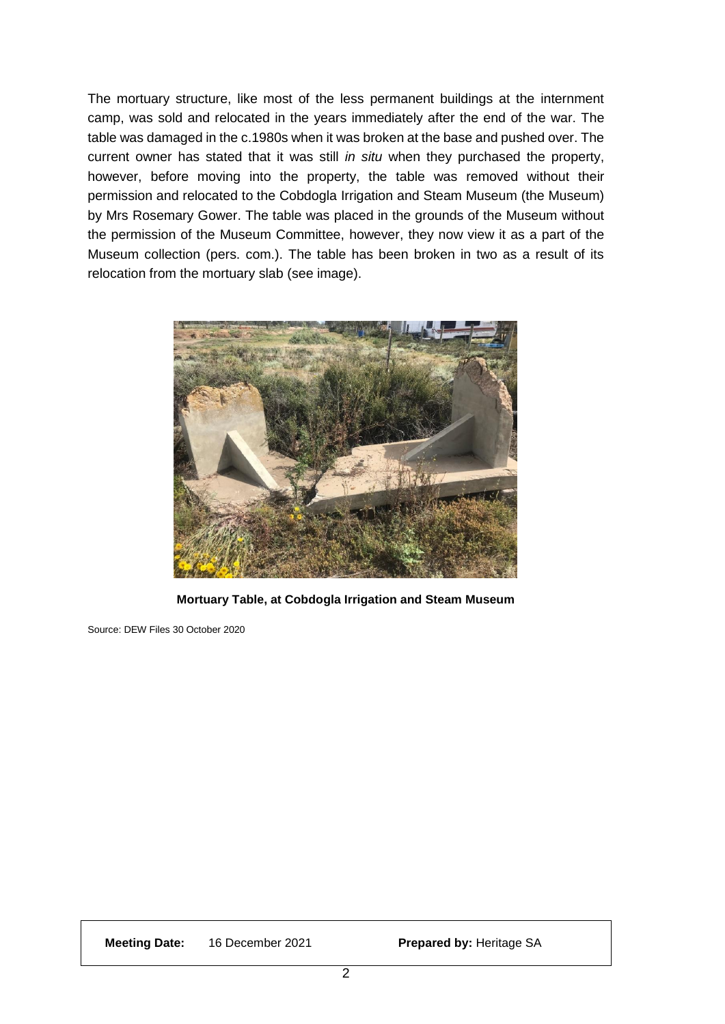The mortuary structure, like most of the less permanent buildings at the internment camp, was sold and relocated in the years immediately after the end of the war. The table was damaged in the c.1980s when it was broken at the base and pushed over. The current owner has stated that it was still *in situ* when they purchased the property, however, before moving into the property, the table was removed without their permission and relocated to the Cobdogla Irrigation and Steam Museum (the Museum) by Mrs Rosemary Gower. The table was placed in the grounds of the Museum without the permission of the Museum Committee, however, they now view it as a part of the Museum collection (pers. com.). The table has been broken in two as a result of its relocation from the mortuary slab (see image).



**Mortuary Table, at Cobdogla Irrigation and Steam Museum**

Source: DEW Files 30 October 2020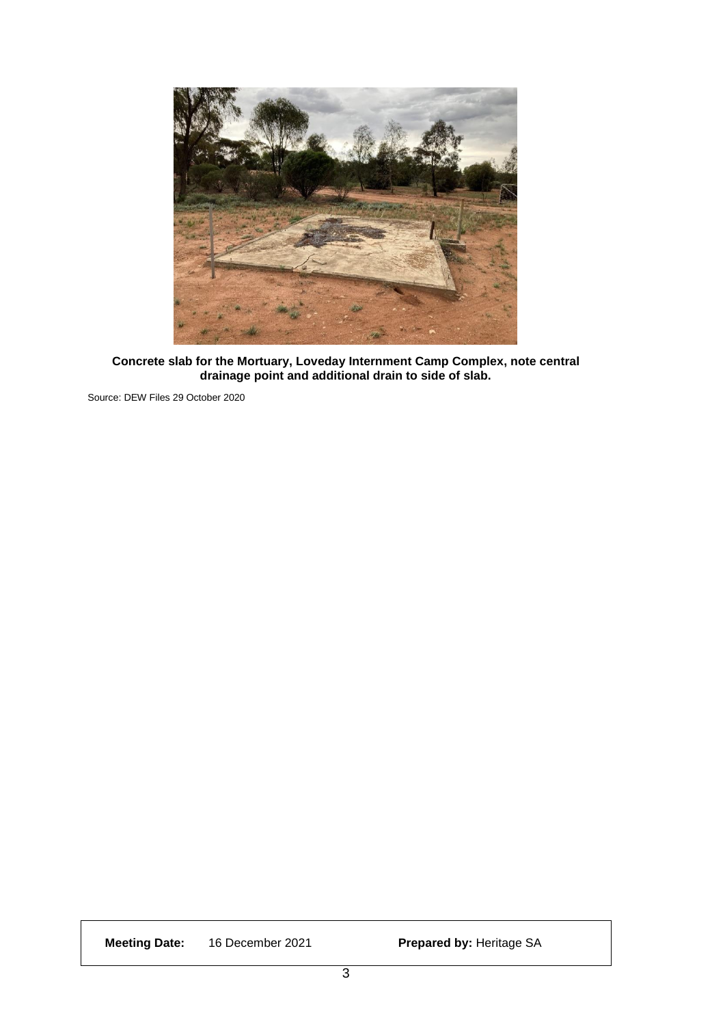

**Concrete slab for the Mortuary, Loveday Internment Camp Complex, note central drainage point and additional drain to side of slab.**

Source: DEW Files 29 October 2020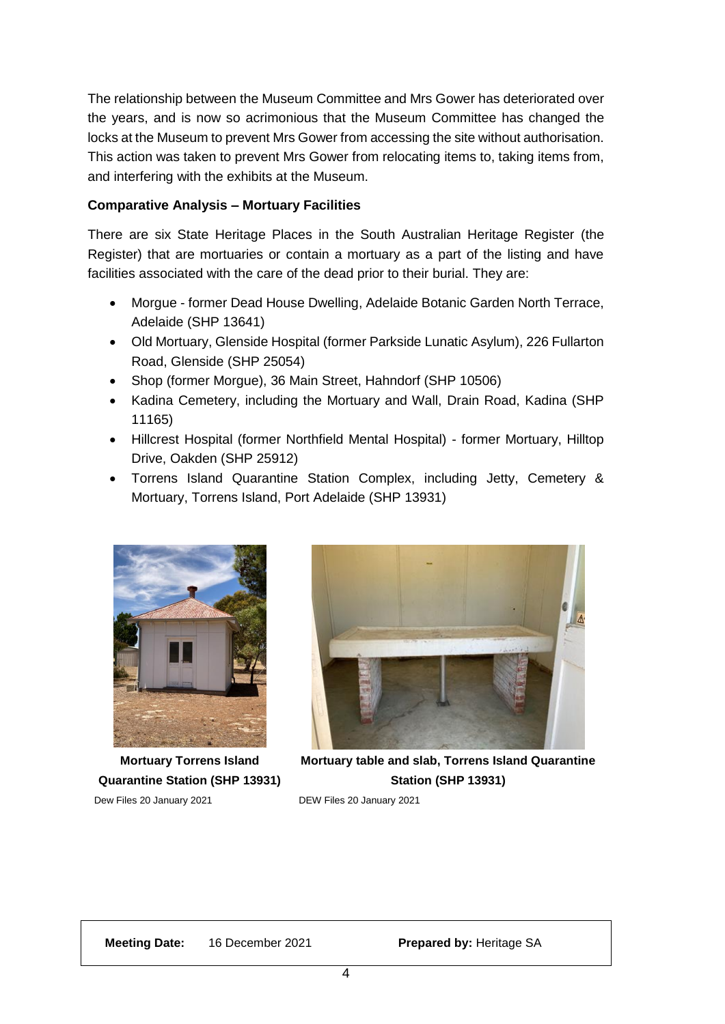The relationship between the Museum Committee and Mrs Gower has deteriorated over the years, and is now so acrimonious that the Museum Committee has changed the locks at the Museum to prevent Mrs Gower from accessing the site without authorisation. This action was taken to prevent Mrs Gower from relocating items to, taking items from, and interfering with the exhibits at the Museum.

### **Comparative Analysis – Mortuary Facilities**

There are six State Heritage Places in the South Australian Heritage Register (the Register) that are mortuaries or contain a mortuary as a part of the listing and have facilities associated with the care of the dead prior to their burial. They are:

- Morgue former Dead House Dwelling, Adelaide Botanic Garden North Terrace, Adelaide (SHP 13641)
- Old Mortuary, Glenside Hospital (former Parkside Lunatic Asylum), 226 Fullarton Road, Glenside (SHP 25054)
- Shop (former Morgue), 36 Main Street, Hahndorf (SHP 10506)
- Kadina Cemetery, including the Mortuary and Wall, Drain Road, Kadina (SHP 11165)
- Hillcrest Hospital (former Northfield Mental Hospital) former Mortuary, Hilltop Drive, Oakden (SHP 25912)
- Torrens Island Quarantine Station Complex, including Jetty, Cemetery & Mortuary, Torrens Island, Port Adelaide (SHP 13931)



**Mortuary Torrens Island Quarantine Station (SHP 13931)**

Dew Files 20 January 2021



**Mortuary table and slab, Torrens Island Quarantine Station (SHP 13931)**

DEW Files 20 January 2021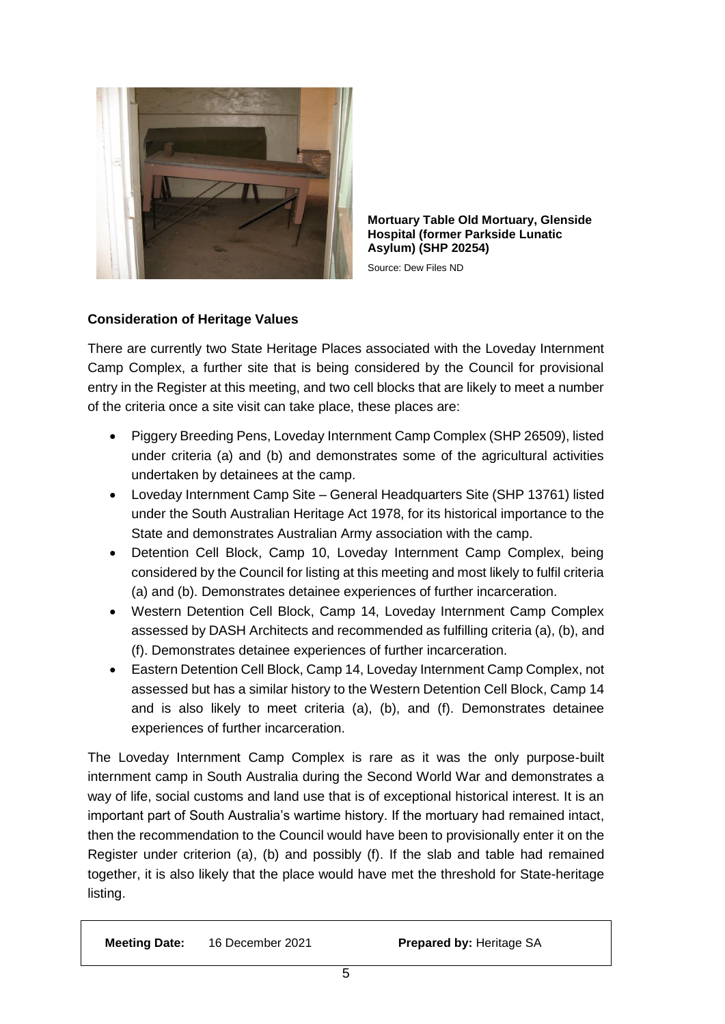

**Mortuary Table Old Mortuary, Glenside Hospital (former Parkside Lunatic Asylum) (SHP 20254)**

Source: Dew Files ND

## **Consideration of Heritage Values**

There are currently two State Heritage Places associated with the Loveday Internment Camp Complex, a further site that is being considered by the Council for provisional entry in the Register at this meeting, and two cell blocks that are likely to meet a number of the criteria once a site visit can take place, these places are:

- Piggery Breeding Pens, Loveday Internment Camp Complex (SHP 26509), listed under criteria (a) and (b) and demonstrates some of the agricultural activities undertaken by detainees at the camp.
- Loveday Internment Camp Site General Headquarters Site (SHP 13761) listed under the South Australian Heritage Act 1978, for its historical importance to the State and demonstrates Australian Army association with the camp.
- Detention Cell Block, Camp 10, Loveday Internment Camp Complex, being considered by the Council for listing at this meeting and most likely to fulfil criteria (a) and (b). Demonstrates detainee experiences of further incarceration.
- Western Detention Cell Block, Camp 14, Loveday Internment Camp Complex assessed by DASH Architects and recommended as fulfilling criteria (a), (b), and (f). Demonstrates detainee experiences of further incarceration.
- Eastern Detention Cell Block, Camp 14, Loveday Internment Camp Complex, not assessed but has a similar history to the Western Detention Cell Block, Camp 14 and is also likely to meet criteria (a), (b), and (f). Demonstrates detainee experiences of further incarceration.

The Loveday Internment Camp Complex is rare as it was the only purpose-built internment camp in South Australia during the Second World War and demonstrates a way of life, social customs and land use that is of exceptional historical interest. It is an important part of South Australia's wartime history. If the mortuary had remained intact, then the recommendation to the Council would have been to provisionally enter it on the Register under criterion (a), (b) and possibly (f). If the slab and table had remained together, it is also likely that the place would have met the threshold for State-heritage listing.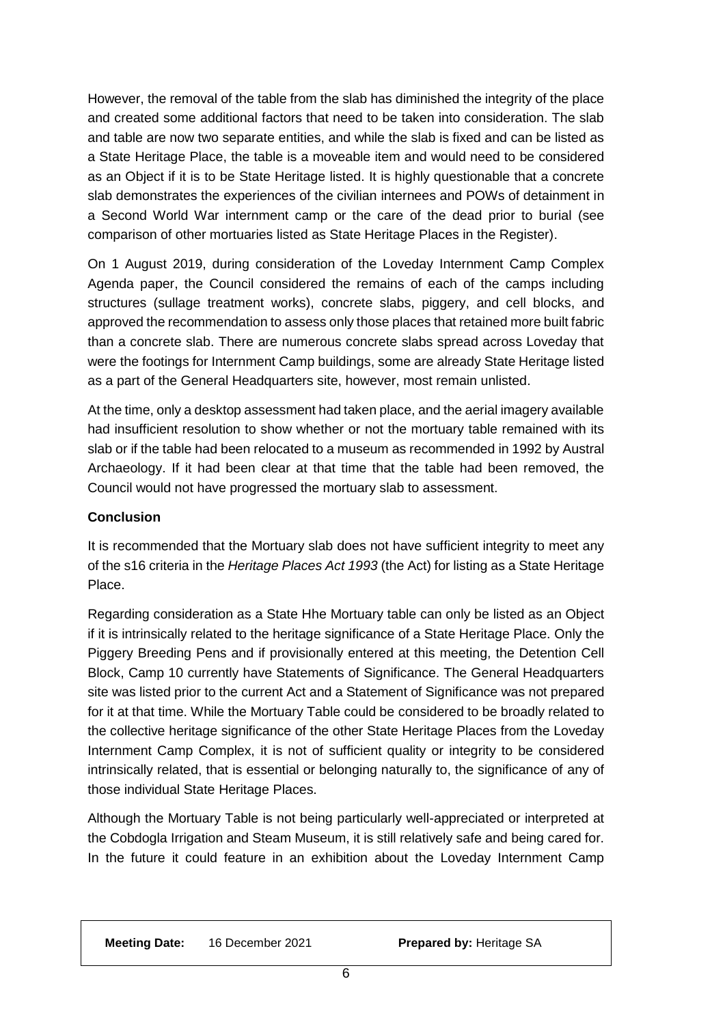However, the removal of the table from the slab has diminished the integrity of the place and created some additional factors that need to be taken into consideration. The slab and table are now two separate entities, and while the slab is fixed and can be listed as a State Heritage Place, the table is a moveable item and would need to be considered as an Object if it is to be State Heritage listed. It is highly questionable that a concrete slab demonstrates the experiences of the civilian internees and POWs of detainment in a Second World War internment camp or the care of the dead prior to burial (see comparison of other mortuaries listed as State Heritage Places in the Register).

On 1 August 2019, during consideration of the Loveday Internment Camp Complex Agenda paper, the Council considered the remains of each of the camps including structures (sullage treatment works), concrete slabs, piggery, and cell blocks, and approved the recommendation to assess only those places that retained more built fabric than a concrete slab. There are numerous concrete slabs spread across Loveday that were the footings for Internment Camp buildings, some are already State Heritage listed as a part of the General Headquarters site, however, most remain unlisted.

At the time, only a desktop assessment had taken place, and the aerial imagery available had insufficient resolution to show whether or not the mortuary table remained with its slab or if the table had been relocated to a museum as recommended in 1992 by Austral Archaeology. If it had been clear at that time that the table had been removed, the Council would not have progressed the mortuary slab to assessment.

#### **Conclusion**

It is recommended that the Mortuary slab does not have sufficient integrity to meet any of the s16 criteria in the *Heritage Places Act 1993* (the Act) for listing as a State Heritage Place.

Regarding consideration as a State Hhe Mortuary table can only be listed as an Object if it is intrinsically related to the heritage significance of a State Heritage Place. Only the Piggery Breeding Pens and if provisionally entered at this meeting, the Detention Cell Block, Camp 10 currently have Statements of Significance. The General Headquarters site was listed prior to the current Act and a Statement of Significance was not prepared for it at that time. While the Mortuary Table could be considered to be broadly related to the collective heritage significance of the other State Heritage Places from the Loveday Internment Camp Complex, it is not of sufficient quality or integrity to be considered intrinsically related, that is essential or belonging naturally to, the significance of any of those individual State Heritage Places.

Although the Mortuary Table is not being particularly well-appreciated or interpreted at the Cobdogla Irrigation and Steam Museum, it is still relatively safe and being cared for. In the future it could feature in an exhibition about the Loveday Internment Camp